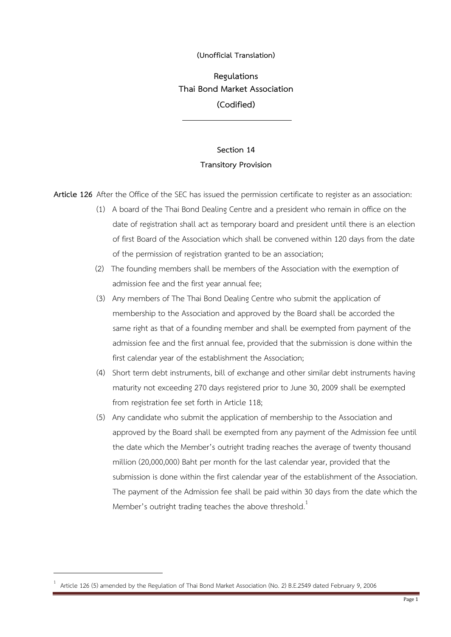## **(Unofficial Translation)**

**Regulations Thai Bond Market Association (Codified)**

## **Section 14 Transitory Provision**

**Article 126** After the Office of the SEC has issued the permission certificate to register as an association:

- (1) A board of the Thai Bond Dealing Centre and a president who remain in office on the date of registration shall act as temporary board and president until there is an election of first Board of the Association which shall be convened within 120 days from the date of the permission of registration granted to be an association;
- (2) The founding members shall be members of the Association with the exemption of admission fee and the first year annual fee;
- (3) Any members of The Thai Bond Dealing Centre who submit the application of membership to the Association and approved by the Board shall be accorded the same right as that of a founding member and shall be exempted from payment of the admission fee and the first annual fee, provided that the submission is done within the first calendar year of the establishment the Association;
- (4) Short term debt instruments, bill of exchange and other similar debt instruments having maturity not exceeding 270 days registered prior to June 30, 2009 shall be exempted from registration fee set forth in Article 118;
- (5) Any candidate who submit the application of membership to the Association and approved by the Board shall be exempted from any payment of the Admission fee until the date which the Member's outright trading reaches the average of twenty thousand million (20,000,000) Baht per month for the last calendar year, provided that the submission is done within the first calendar year of the establishment of the Association. The payment of the Admission fee shall be paid within 30 days from the date which the Member's outright trading teaches the above threshold.<sup>1</sup>

<sup>1</sup> Article 126 (5) amended by the Regulation of Thai Bond Market Association (No. 2) B.E.2549 dated February 9, 2006